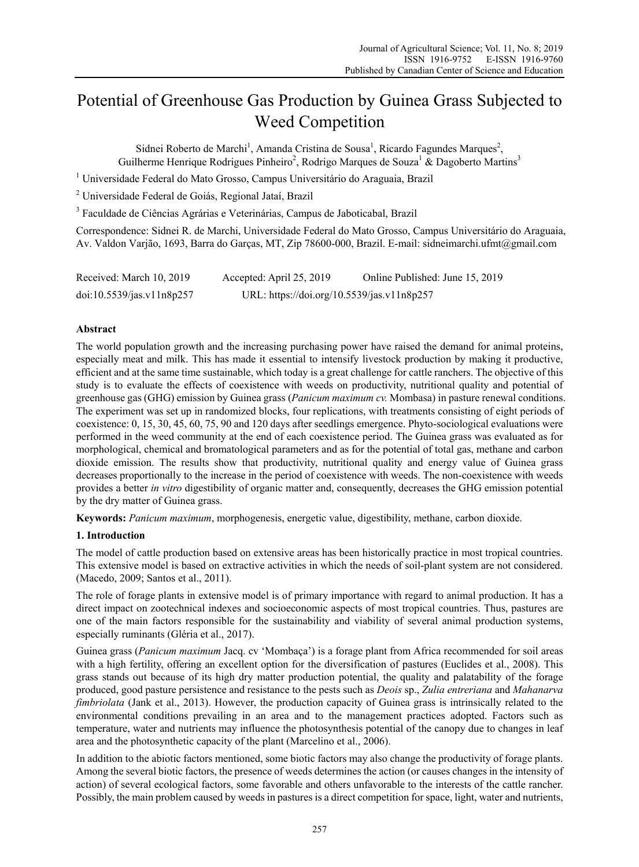# Potential of Greenhouse Gas Production by Guinea Grass Subjected to Weed Competition

Sidnei Roberto de Marchi<sup>1</sup>, Amanda Cristina de Sousa<sup>1</sup>, Ricardo Fagundes Marques<sup>2</sup>, Guilherme Henrique Rodrigues Pinheiro<sup>2</sup>, Rodrigo Marques de Souza<sup>1</sup> & Dagoberto Martins<sup>3</sup>

<sup>1</sup> Universidade Federal do Mato Grosso, Campus Universitário do Araguaia, Brazil

2 Universidade Federal de Goiás, Regional Jataí, Brazil

<sup>3</sup> Faculdade de Ciências Agrárias e Veterinárias, Campus de Jaboticabal, Brazil

Correspondence: Sidnei R. de Marchi, Universidade Federal do Mato Grosso, Campus Universitário do Araguaia, Av. Valdon Varjão, 1693, Barra do Garças, MT, Zip 78600-000, Brazil. E-mail: sidneimarchi.ufmt@gmail.com

| Received: March 10, 2019  | Accepted: April 25, 2019                   | Online Published: June 15, 2019 |
|---------------------------|--------------------------------------------|---------------------------------|
| doi:10.5539/jas.v11n8p257 | URL: https://doi.org/10.5539/jas.v11n8p257 |                                 |

## **Abstract**

The world population growth and the increasing purchasing power have raised the demand for animal proteins, especially meat and milk. This has made it essential to intensify livestock production by making it productive, efficient and at the same time sustainable, which today is a great challenge for cattle ranchers. The objective of this study is to evaluate the effects of coexistence with weeds on productivity, nutritional quality and potential of greenhouse gas (GHG) emission by Guinea grass (*Panicum maximum cv.* Mombasa) in pasture renewal conditions. The experiment was set up in randomized blocks, four replications, with treatments consisting of eight periods of coexistence: 0, 15, 30, 45, 60, 75, 90 and 120 days after seedlings emergence. Phyto-sociological evaluations were performed in the weed community at the end of each coexistence period. The Guinea grass was evaluated as for morphological, chemical and bromatological parameters and as for the potential of total gas, methane and carbon dioxide emission. The results show that productivity, nutritional quality and energy value of Guinea grass decreases proportionally to the increase in the period of coexistence with weeds. The non-coexistence with weeds provides a better *in vitro* digestibility of organic matter and, consequently, decreases the GHG emission potential by the dry matter of Guinea grass.

**Keywords:** *Panicum maximum*, morphogenesis, energetic value, digestibility, methane, carbon dioxide.

#### **1. Introduction**

The model of cattle production based on extensive areas has been historically practice in most tropical countries. This extensive model is based on extractive activities in which the needs of soil-plant system are not considered. (Macedo, 2009; Santos et al., 2011).

The role of forage plants in extensive model is of primary importance with regard to animal production. It has a direct impact on zootechnical indexes and socioeconomic aspects of most tropical countries. Thus, pastures are one of the main factors responsible for the sustainability and viability of several animal production systems, especially ruminants (Gléria et al., 2017).

Guinea grass (*Panicum maximum* Jacq. cv 'Mombaça') is a forage plant from Africa recommended for soil areas with a high fertility, offering an excellent option for the diversification of pastures (Euclides et al., 2008). This grass stands out because of its high dry matter production potential, the quality and palatability of the forage produced, good pasture persistence and resistance to the pests such as *Deois* sp., *Zulia entreriana* and *Mahanarva fimbriolata* (Jank et al., 2013). However, the production capacity of Guinea grass is intrinsically related to the environmental conditions prevailing in an area and to the management practices adopted. Factors such as temperature, water and nutrients may influence the photosynthesis potential of the canopy due to changes in leaf area and the photosynthetic capacity of the plant (Marcelino et al., 2006).

In addition to the abiotic factors mentioned, some biotic factors may also change the productivity of forage plants. Among the several biotic factors, the presence of weeds determines the action (or causes changes in the intensity of action) of several ecological factors, some favorable and others unfavorable to the interests of the cattle rancher. Possibly, the main problem caused by weeds in pastures is a direct competition for space, light, water and nutrients,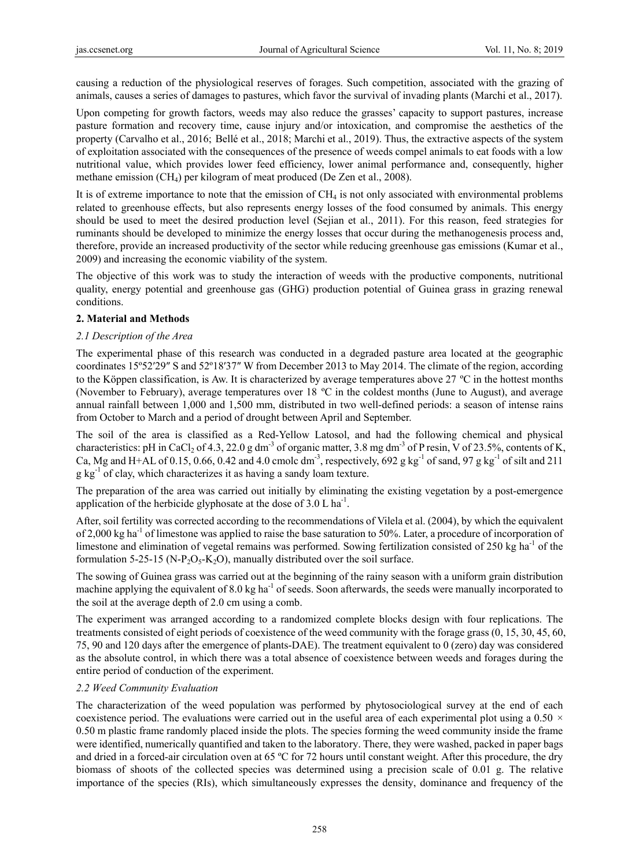causing a reduction of the physiological reserves of forages. Such competition, associated with the grazing of animals, causes a series of damages to pastures, which favor the survival of invading plants (Marchi et al., 2017).

Upon competing for growth factors, weeds may also reduce the grasses' capacity to support pastures, increase pasture formation and recovery time, cause injury and/or intoxication, and compromise the aesthetics of the property (Carvalho et al., 2016; Bellé et al., 2018; Marchi et al., 2019). Thus, the extractive aspects of the system of exploitation associated with the consequences of the presence of weeds compel animals to eat foods with a low nutritional value, which provides lower feed efficiency, lower animal performance and, consequently, higher methane emission (CH4) per kilogram of meat produced (De Zen et al., 2008).

It is of extreme importance to note that the emission of CH<sub>4</sub> is not only associated with environmental problems related to greenhouse effects, but also represents energy losses of the food consumed by animals. This energy should be used to meet the desired production level (Sejian et al., 2011). For this reason, feed strategies for ruminants should be developed to minimize the energy losses that occur during the methanogenesis process and, therefore, provide an increased productivity of the sector while reducing greenhouse gas emissions (Kumar et al., 2009) and increasing the economic viability of the system.

The objective of this work was to study the interaction of weeds with the productive components, nutritional quality, energy potential and greenhouse gas (GHG) production potential of Guinea grass in grazing renewal conditions.

# **2. Material and Methods**

## *2.1 Description of the Area*

The experimental phase of this research was conducted in a degraded pasture area located at the geographic coordinates 15º52′29″ S and 52º18′37″ W from December 2013 to May 2014. The climate of the region, according to the Köppen classification, is Aw. It is characterized by average temperatures above  $27 \text{ °C}$  in the hottest months (November to February), average temperatures over 18 ºC in the coldest months (June to August), and average annual rainfall between 1,000 and 1,500 mm, distributed in two well-defined periods: a season of intense rains from October to March and a period of drought between April and September.

The soil of the area is classified as a Red-Yellow Latosol, and had the following chemical and physical characteristics: pH in CaCl<sub>2</sub> of 4.3, 22.0 g dm<sup>-3</sup> of organic matter, 3.8 mg dm<sup>-3</sup> of P resin, V of 23.5%, contents of K, Ca, Mg and H+AL of 0.15, 0.66, 0.42 and 4.0 cmolc dm<sup>-3</sup>, respectively, 692 g kg<sup>-1</sup> of sand, 97 g kg<sup>-1</sup> of silt and 211  $g \text{ kg}^{-1}$  of clay, which characterizes it as having a sandy loam texture.

The preparation of the area was carried out initially by eliminating the existing vegetation by a post-emergence application of the herbicide glyphosate at the dose of  $3.0 \, \text{L} \, \text{ha}^{-1}$ .

After, soil fertility was corrected according to the recommendations of Vilela et al. (2004), by which the equivalent of 2,000 kg ha<sup>-1</sup> of limestone was applied to raise the base saturation to 50%. Later, a procedure of incorporation of limestone and elimination of vegetal remains was performed. Sowing fertilization consisted of  $250 \text{ kg h}^{-1}$  of the formulation 5-25-15 (N-P<sub>2</sub>O<sub>5</sub>-K<sub>2</sub>O), manually distributed over the soil surface.

The sowing of Guinea grass was carried out at the beginning of the rainy season with a uniform grain distribution machine applying the equivalent of 8.0 kg ha<sup>-1</sup> of seeds. Soon afterwards, the seeds were manually incorporated to the soil at the average depth of 2.0 cm using a comb.

The experiment was arranged according to a randomized complete blocks design with four replications. The treatments consisted of eight periods of coexistence of the weed community with the forage grass (0, 15, 30, 45, 60, 75, 90 and 120 days after the emergence of plants-DAE). The treatment equivalent to 0 (zero) day was considered as the absolute control, in which there was a total absence of coexistence between weeds and forages during the entire period of conduction of the experiment.

# *2.2 Weed Community Evaluation*

The characterization of the weed population was performed by phytosociological survey at the end of each coexistence period. The evaluations were carried out in the useful area of each experimental plot using a  $0.50 \times$ 0.50 m plastic frame randomly placed inside the plots. The species forming the weed community inside the frame were identified, numerically quantified and taken to the laboratory. There, they were washed, packed in paper bags and dried in a forced-air circulation oven at 65 ºC for 72 hours until constant weight. After this procedure, the dry biomass of shoots of the collected species was determined using a precision scale of 0.01 g. The relative importance of the species (RIs), which simultaneously expresses the density, dominance and frequency of the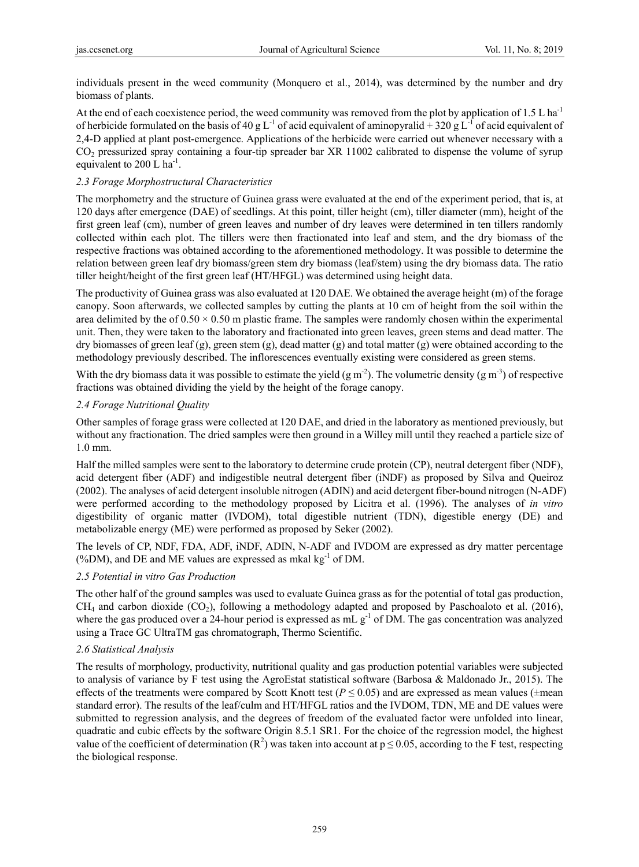individuals present in the weed community (Monquero et al., 2014), was determined by the number and dry biomass of plants.

At the end of each coexistence period, the weed community was removed from the plot by application of 1.5 L ha<sup>-1</sup> of herbicide formulated on the basis of 40 g L<sup>-1</sup> of acid equivalent of aminopyralid + 320 g L<sup>-1</sup> of acid equivalent of 2,4-D applied at plant post-emergence. Applications of the herbicide were carried out whenever necessary with a CO<sub>2</sub> pressurized spray containing a four-tip spreader bar XR 11002 calibrated to dispense the volume of syrup equivalent to 200 L ha<sup>-1</sup>.

## *2.3 Forage Morphostructural Characteristics*

The morphometry and the structure of Guinea grass were evaluated at the end of the experiment period, that is, at 120 days after emergence (DAE) of seedlings. At this point, tiller height (cm), tiller diameter (mm), height of the first green leaf (cm), number of green leaves and number of dry leaves were determined in ten tillers randomly collected within each plot. The tillers were then fractionated into leaf and stem, and the dry biomass of the respective fractions was obtained according to the aforementioned methodology. It was possible to determine the relation between green leaf dry biomass/green stem dry biomass (leaf/stem) using the dry biomass data. The ratio tiller height/height of the first green leaf (HT/HFGL) was determined using height data.

The productivity of Guinea grass was also evaluated at 120 DAE. We obtained the average height (m) of the forage canopy. Soon afterwards, we collected samples by cutting the plants at 10 cm of height from the soil within the area delimited by the of  $0.50 \times 0.50$  m plastic frame. The samples were randomly chosen within the experimental unit. Then, they were taken to the laboratory and fractionated into green leaves, green stems and dead matter. The dry biomasses of green leaf  $(g)$ , green stem  $(g)$ , dead matter  $(g)$  and total matter  $(g)$  were obtained according to the methodology previously described. The inflorescences eventually existing were considered as green stems.

With the dry biomass data it was possible to estimate the yield  $(g m<sup>-2</sup>)$ . The volumetric density  $(g m<sup>-3</sup>)$  of respective fractions was obtained dividing the yield by the height of the forage canopy.

## *2.4 Forage Nutritional Quality*

Other samples of forage grass were collected at 120 DAE, and dried in the laboratory as mentioned previously, but without any fractionation. The dried samples were then ground in a Willey mill until they reached a particle size of 1.0 mm.

Half the milled samples were sent to the laboratory to determine crude protein (CP), neutral detergent fiber (NDF), acid detergent fiber (ADF) and indigestible neutral detergent fiber (iNDF) as proposed by Silva and Queiroz (2002). The analyses of acid detergent insoluble nitrogen (ADIN) and acid detergent fiber-bound nitrogen (N-ADF) were performed according to the methodology proposed by Licitra et al. (1996). The analyses of *in vitro* digestibility of organic matter (IVDOM), total digestible nutrient (TDN), digestible energy (DE) and metabolizable energy (ME) were performed as proposed by Seker (2002).

The levels of CP, NDF, FDA, ADF, iNDF, ADIN, N-ADF and IVDOM are expressed as dry matter percentage (%DM), and DE and ME values are expressed as mkal  $kg^{-1}$  of DM.

#### *2.5 Potential in vitro Gas Production*

The other half of the ground samples was used to evaluate Guinea grass as for the potential of total gas production,  $CH_4$  and carbon dioxide (CO<sub>2</sub>), following a methodology adapted and proposed by Paschoaloto et al. (2016), where the gas produced over a 24-hour period is expressed as  $mL g^{-1}$  of DM. The gas concentration was analyzed using a Trace GC UltraTM gas chromatograph, Thermo Scientific.

# *2.6 Statistical Analysis*

The results of morphology, productivity, nutritional quality and gas production potential variables were subjected to analysis of variance by F test using the AgroEstat statistical software (Barbosa & Maldonado Jr., 2015). The effects of the treatments were compared by Scott Knott test ( $P \le 0.05$ ) and are expressed as mean values ( $\pm$ mean standard error). The results of the leaf/culm and HT/HFGL ratios and the IVDOM, TDN, ME and DE values were submitted to regression analysis, and the degrees of freedom of the evaluated factor were unfolded into linear, quadratic and cubic effects by the software Origin 8.5.1 SR1. For the choice of the regression model, the highest value of the coefficient of determination ( $\mathbb{R}^2$ ) was taken into account at  $p \le 0.05$ , according to the F test, respecting the biological response.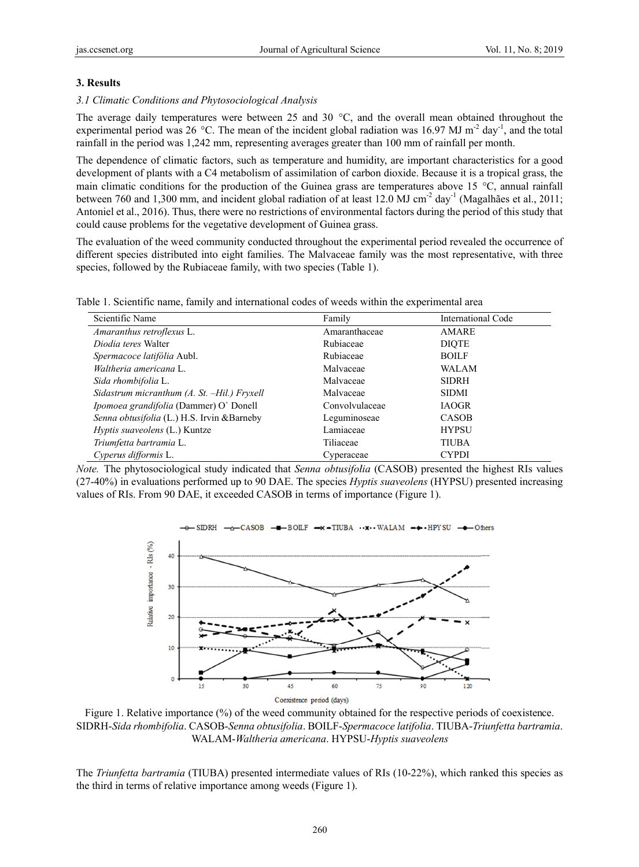#### **3. Results**

#### 3.1 Climatic Conditions and Phytosociological Analysis

The average daily temperatures were between 25 and 30  $^{\circ}$ C, and the overall mean obtained throughout the experimental period was 26 °C. The mean of the incident global radiation was 16.97 MJ m<sup>-2</sup> day<sup>-1</sup>, and the total rainfall in the period was 1,242 mm, representing averages greater than 100 mm of rainfall per month.

The dependence of climatic factors, such as temperature and humidity, are important characteristics for a good development of plants with a C4 metabolism of assimilation of carbon dioxide. Because it is a tropical grass, the main climatic conditions for the production of the Guinea grass are temperatures above 15  $^{\circ}$ C, annual rainfall between 760 and 1,300 mm, and incident global radiation of at least 12.0 MJ cm<sup>-2</sup> day<sup>-1</sup> (Magalhães et al., 2011; Antoniel et al., 2016). Thus, there were no restrictions of environmental factors during the period of this study that could cause problems for the vegetative development of Guinea grass.

The evaluation of the weed community conducted throughout the experimental period revealed the occurrence of different species distributed into eight families. The Malvaceae family was the most representative, with three species, followed by the Rubiaceae family, with two species (Table 1).

| Table 1. Scientific name, family and international codes of weeds within the experimental area |  |
|------------------------------------------------------------------------------------------------|--|
|------------------------------------------------------------------------------------------------|--|

| Scientific Name                               | Family         | International Code |
|-----------------------------------------------|----------------|--------------------|
| Amaranthus retroflexus L.                     | Amaranthaceae  | AMARE              |
| Diodia teres Walter                           | Rubiaceae      | <b>DIOTE</b>       |
| Spermacoce latifólia Aubl.                    | Rubiaceae      | <b>BOILF</b>       |
| Waltheria americana L.                        | Malvaceae      | <b>WALAM</b>       |
| Sida rhombifolia L.                           | Malvaceae      | <b>SIDRH</b>       |
| Sidastrum micranthum (A. St. -Hil.) Fryxell   | Malvaceae      | <b>SIDMI</b>       |
| <i>Ipomoea grandifolia</i> (Dammer) O' Donell | Convolvulaceae | <b>IAOGR</b>       |
| Senna obtusifolia (L.) H.S. Irvin & Barneby   | Leguminoseae   | <b>CASOB</b>       |
| Hyptis suaveolens (L.) Kuntze                 | Lamiaceae      | <b>HYPSU</b>       |
| Triumfetta bartramia L.                       | Tiliaceae      | <b>TIUBA</b>       |
| Cyperus difformis L.                          | Cyperaceae     | <b>CYPDI</b>       |

Note. The phytosociological study indicated that *Senna obtusifolia* (CASOB) presented the highest RIs values (27-40%) in evaluations performed up to 90 DAE. The species *Hyptis suaveolens* (HYPSU) presented increasing values of RIs. From 90 DAE, it exceeded CASOB in terms of importance (Figure 1).



Figure 1. Relative importance (%) of the weed community obtained for the respective periods of coexistence. SIDRH-*Si ida rhombifolia a*. CASOB-*Sen nna obtusifolia a*. BOILF-*Sper rmacoce latifol lia*. TIUBA-*Tr riunfetta bartra amia*. WALAM-*W Waltheria amer ricana*. HYPSU U-*Hyptis suav eolens*

The *Triunfetta bartramia* (TIUBA) presented intermediate values of RIs (10-22%), which ranked this species as the third in terms of relative importance among weeds (Figure 1).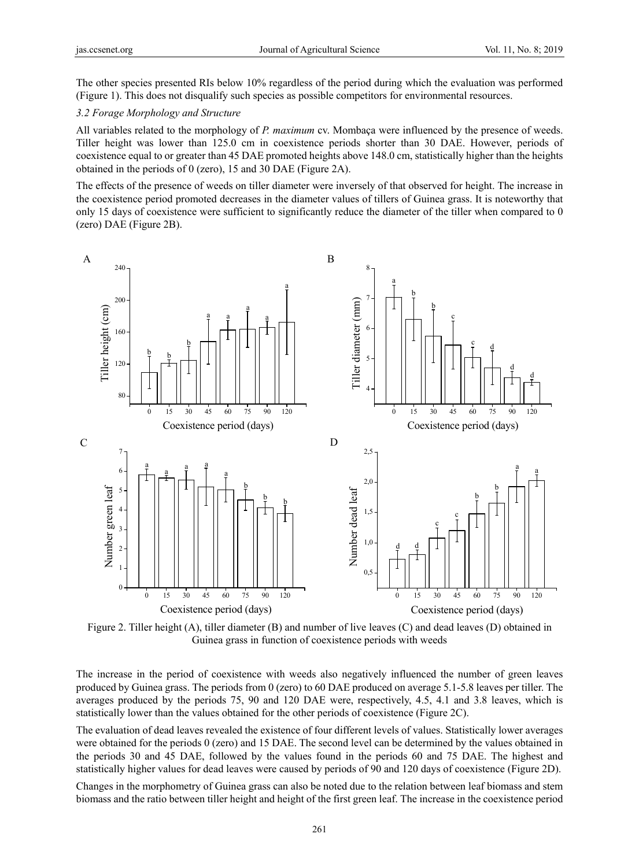The other species presented RIs below 10% regardless of the period during which the evaluation was performed (Figure 1). This does not disqualify such species as possible competitors for environmental resources.

#### *3.2 Forage Morphology and Structure*

All variables related to the morphology of *P. maximum* cv. Mombaça were influenced by the presence of weeds. Tiller height was lower than 125.0 cm in coexistence periods shorter than 30 DAE. However, periods of coexistence equal to or greater than 45 DAE promoted heights above 148.0 cm, statistically higher than the heights obtained in the periods of 0 (zero), 15 and 30 DAE (Figure 2A).

The effects of the presence of weeds on tiller diameter were inversely of that observed for height. The increase in the coexistence period promoted decreases in the diameter values of tillers of Guinea grass. It is noteworthy that only 15 days of coexistence were sufficient to significantly reduce the diameter of the tiller when compared to 0 (zero) DAE (Figure 2B).



Figure 2. Tiller height (A), tiller diameter (B) and number of live leaves (C) and dead leaves (D) obtained in Guinea grass in function of coexistence periods with weeds

The increase in the period of coexistence with weeds also negatively influenced the number of green leaves produced by Guinea grass. The periods from 0 (zero) to 60 DAE produced on average 5.1-5.8 leaves per tiller. The averages produced by the periods 75, 90 and 120 DAE were, respectively, 4.5, 4.1 and 3.8 leaves, which is statistically lower than the values obtained for the other periods of coexistence (Figure 2C).

The evaluation of dead leaves revealed the existence of four different levels of values. Statistically lower averages were obtained for the periods 0 (zero) and 15 DAE. The second level can be determined by the values obtained in the periods 30 and 45 DAE, followed by the values found in the periods 60 and 75 DAE. The highest and statistically higher values for dead leaves were caused by periods of 90 and 120 days of coexistence (Figure 2D).

Changes in the morphometry of Guinea grass can also be noted due to the relation between leaf biomass and stem biomass and the ratio between tiller height and height of the first green leaf. The increase in the coexistence period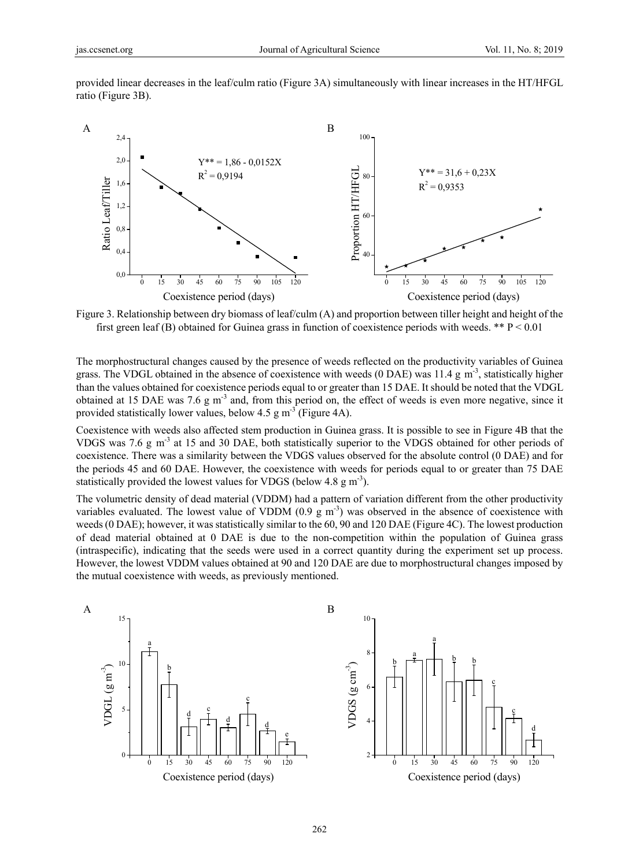provided linear decreases in the leaf/culm ratio (Figure 3A) simultaneously with linear increases in the HT/HFGL ratio (Figure 3B).



Figure 3. Relationship between dry biomass of leaf/culm (A) and proportion between tiller height and height of the first green leaf (B) obtained for Guinea grass in function of coexistence periods with weeds. \*\*  $P < 0.01$ 

The morphostructural changes caused by the presence of weeds reflected on the productivity variables of Guinea grass. The VDGL obtained in the absence of coexistence with weeds (0 DAE) was 11.4 g m<sup>-3</sup>, statistically higher than the values obtained for coexistence periods equal to or greater than 15 DAE. It should be noted that the VDGL obtained at 15 DAE was 7.6 g m<sup>-3</sup> and, from this period on, the effect of weeds is even more negative, since it provided statistically lower values, below  $4.5 \text{ g m}^{-3}$  (Figure 4A).

Coexistence with weeds also affected stem production in Guinea grass. It is possible to see in Figure 4B that the VDGS was 7.6 g m<sup>-3</sup> at 15 and 30 DAE, both statistically superior to the VDGS obtained for other periods of coexistence. There was a similarity between the VDGS values observed for the absolute control (0 DAE) and for the periods 45 and 60 DAE. However, the coexistence with weeds for periods equal to or greater than 75 DAE statistically provided the lowest values for VDGS (below 4.8  $\text{g m}^{-3}$ ).

The volumetric density of dead material (VDDM) had a pattern of variation different from the other productivity variables evaluated. The lowest value of VDDM  $(0.9 \text{ g m}^{-3})$  was observed in the absence of coexistence with weeds (0 DAE); however, it was statistically similar to the 60, 90 and 120 DAE (Figure 4C). The lowest production of dead material obtained at 0 DAE is due to the non-competition within the population of Guinea grass (intraspecific), indicating that the seeds were used in a correct quantity during the experiment set up process. However, the lowest VDDM values obtained at 90 and 120 DAE are due to morphostructural changes imposed by the mutual coexistence with weeds, as previously mentioned.



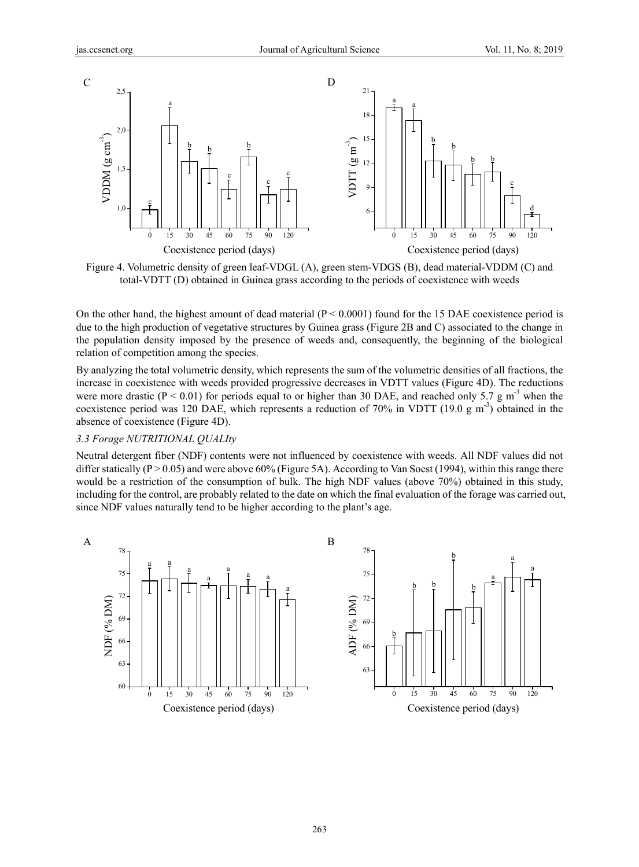

Figure 4. Volumetric density of green leaf-VDGL (A), green stem-VDGS (B), dead material-VDDM (C) and total-VDTT (D) obtained in Guinea grass according to the periods of coexistence with weeds

On the other hand, the highest amount of dead material  $(P < 0.0001)$  found for the 15 DAE coexistence period is due to the high production of vegetative structures by Guinea grass (Figure 2B and C) associated to the change in the population density imposed by the presence of weeds and, consequently, the beginning of the biological relation of competition among the species.

By analyzing the total volumetric density, which represents the sum of the volumetric densities of all fractions, the increase in coexistence with weeds provided progressive decreases in VDTT values (Figure 4D). The reductions were more drastic ( $P < 0.01$ ) for periods equal to or higher than 30 DAE, and reached only 5.7 g m<sup>-3</sup> when the coexistence period was 120 DAE, which represents a reduction of 70% in VDTT (19.0 g m<sup>-3</sup>) obtained in the absence of coexistence (Figure 4D).

## *3.3 Forage NUTRITIONAL QUALIty*

Neutral detergent fiber (NDF) contents were not influenced by coexistence with weeds. All NDF values did not differ statically ( $P > 0.05$ ) and were above 60% (Figure 5A). According to Van Soest (1994), within this range there would be a restriction of the consumption of bulk. The high NDF values (above 70%) obtained in this study, including for the control, are probably related to the date on which the final evaluation of the forage was carried out, since NDF values naturally tend to be higher according to the plant's age.



263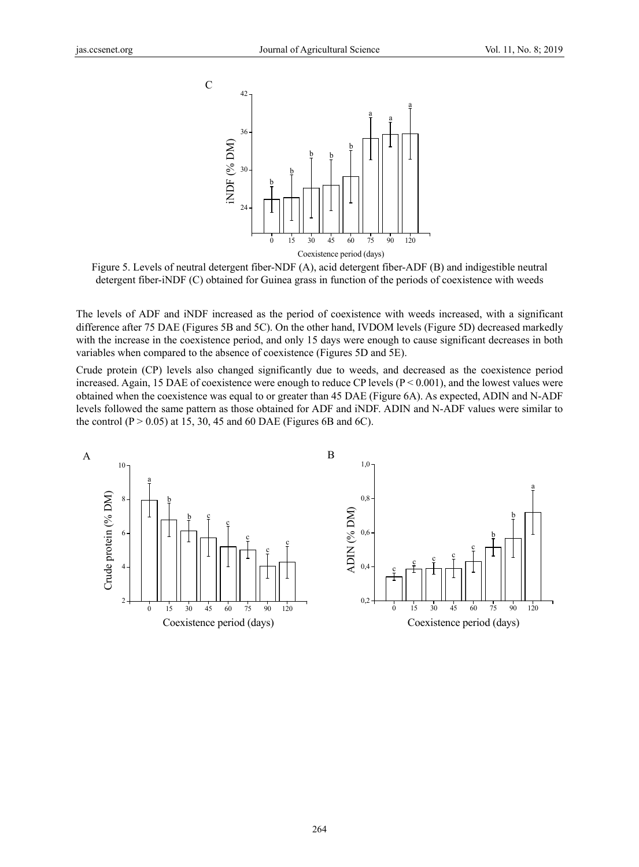

Figure 5. Levels of neutral detergent fiber-NDF (A), acid detergent fiber-ADF (B) and indigestible neutral detergent fiber-iNDF (C) obtained for Guinea grass in function of the periods of coexistence with weeds

The levels of ADF and iNDF increased as the period of coexistence with weeds increased, with a significant difference after 75 DAE (Figures 5B and 5C). On the other hand, IVDOM levels (Figure 5D) decreased markedly with the increase in the coexistence period, and only 15 days were enough to cause significant decreases in both variables when compared to the absence of coexistence (Figures 5D and 5E).

Crude protein (CP) levels also changed significantly due to weeds, and decreased as the coexistence period increased. Again, 15 DAE of coexistence were enough to reduce CP levels  $(P < 0.001)$ , and the lowest values were obtained when the coexistence was equal to or greater than 45 DAE (Figure 6A). As expected, ADIN and N-ADF levels followed the same pattern as those obtained for ADF and iNDF. ADIN and N-ADF values were similar to the control ( $P > 0.05$ ) at 15, 30, 45 and 60 DAE (Figures 6B and 6C).

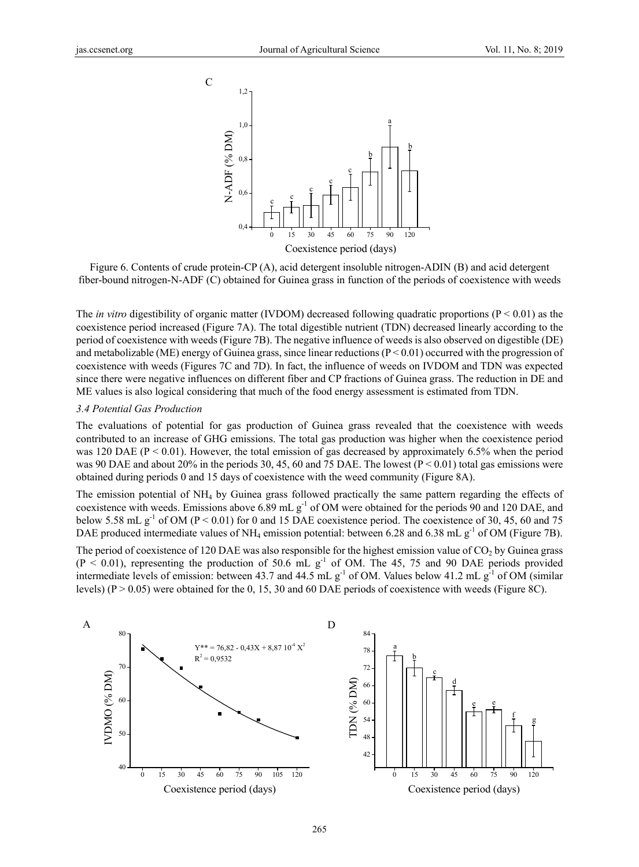

Figure 6. Contents of crude protein-CP (A), acid detergent insoluble nitrogen-ADIN (B) and acid detergent fiber-bound nitrogen-N-ADF (C) obtained for Guinea grass in function of the periods of coexistence with weeds

The *in vitro* digestibility of organic matter (IVDOM) decreased following quadratic proportions ( $P < 0.01$ ) as the coexistence period increased (Figure 7A). The total digestible nutrient (TDN) decreased linearly according to the period of coexistence with weeds (Figure 7B). The negative influence of weeds is also observed on digestible (DE) and metabolizable (ME) energy of Guinea grass, since linear reductions  $(P < 0.01)$  occurred with the progression of coexistence with weeds (Figures 7C and 7D). In fact, the influence of weeds on IVDOM and TDN was expected since there were negative influences on different fiber and CP fractions of Guinea grass. The reduction in DE and ME values is also logical considering that much of the food energy assessment is estimated from TDN.

#### *3.4 Potential Gas Production*

The evaluations of potential for gas production of Guinea grass revealed that the coexistence with weeds contributed to an increase of GHG emissions. The total gas production was higher when the coexistence period was 120 DAE ( $P < 0.01$ ). However, the total emission of gas decreased by approximately 6.5% when the period was 90 DAE and about 20% in the periods 30, 45, 60 and 75 DAE. The lowest ( $P \le 0.01$ ) total gas emissions were obtained during periods 0 and 15 days of coexistence with the weed community (Figure 8A).

The emission potential of NH4 by Guinea grass followed practically the same pattern regarding the effects of coexistence with weeds. Emissions above 6.89 mL g<sup>-1</sup> of OM were obtained for the periods 90 and 120 DAE, and below 5.58 mL  $g^{-1}$  of OM (P < 0.01) for 0 and 15 DAE coexistence period. The coexistence of 30, 45, 60 and 75 DAE produced intermediate values of NH<sub>4</sub> emission potential: between 6.28 and 6.38 mL g<sup>-1</sup> of OM (Figure 7B).

The period of coexistence of 120 DAE was also responsible for the highest emission value of  $CO<sub>2</sub>$  by Guinea grass  $(P < 0.01)$ , representing the production of 50.6 mL g<sup>-1</sup> of OM. The 45, 75 and 90 DAE periods provided intermediate levels of emission: between 43.7 and 44.5 mL  $g^{-1}$  of OM. Values below 41.2 mL  $g^{-1}$  of OM (similar levels) (P > 0.05) were obtained for the 0, 15, 30 and 60 DAE periods of coexistence with weeds (Figure 8C).

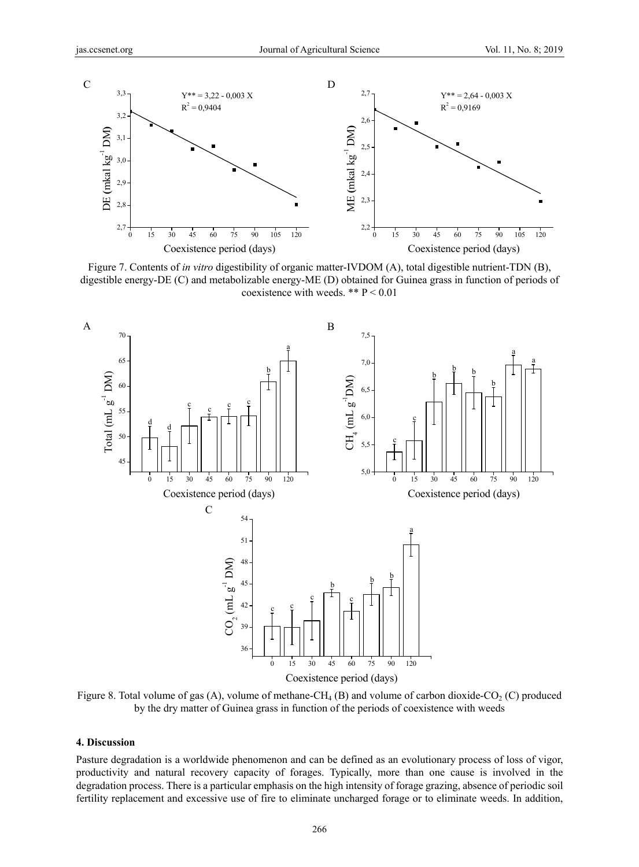

Figure 7. Contents of *in vitro* digestibility of organic matter-IVDOM (A), total digestible nutrient-TDN (B), digestible energy-DE (C) and metabolizable energy-ME (D) obtained for Guinea grass in function of periods of coexistence with weeds. \*\*  $P < 0.01$ 



Figure 8. Total volume of gas (A), volume of methane-CH<sub>4</sub> (B) and volume of carbon dioxide-CO<sub>2</sub> (C) produced by the dry matter of Guinea grass in function of the periods of coexistence with weeds

#### **4. Discussion**

Pasture degradation is a worldwide phenomenon and can be defined as an evolutionary process of loss of vigor, productivity and natural recovery capacity of forages. Typically, more than one cause is involved in the degradation process. There is a particular emphasis on the high intensity of forage grazing, absence of periodic soil fertility replacement and excessive use of fire to eliminate uncharged forage or to eliminate weeds. In addition,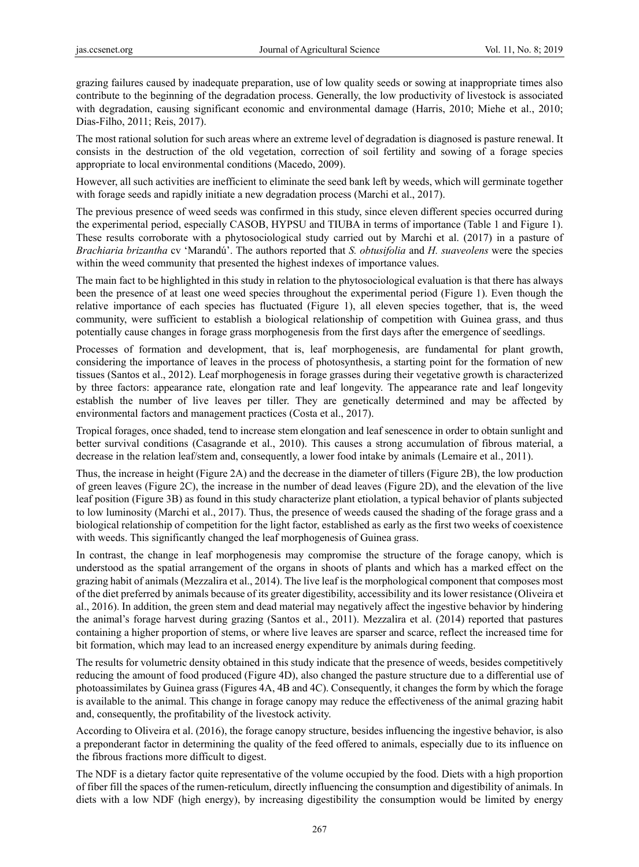grazing failures caused by inadequate preparation, use of low quality seeds or sowing at inappropriate times also contribute to the beginning of the degradation process. Generally, the low productivity of livestock is associated with degradation, causing significant economic and environmental damage (Harris, 2010; Miehe et al., 2010; Dias-Filho, 2011; Reis, 2017).

The most rational solution for such areas where an extreme level of degradation is diagnosed is pasture renewal. It consists in the destruction of the old vegetation, correction of soil fertility and sowing of a forage species appropriate to local environmental conditions (Macedo, 2009).

However, all such activities are inefficient to eliminate the seed bank left by weeds, which will germinate together with forage seeds and rapidly initiate a new degradation process (Marchi et al., 2017).

The previous presence of weed seeds was confirmed in this study, since eleven different species occurred during the experimental period, especially CASOB, HYPSU and TIUBA in terms of importance (Table 1 and Figure 1). These results corroborate with a phytosociological study carried out by Marchi et al. (2017) in a pasture of *Brachiaria brizantha* cv 'Marandú'. The authors reported that *S. obtusifolia* and *H. suaveolens* were the species within the weed community that presented the highest indexes of importance values.

The main fact to be highlighted in this study in relation to the phytosociological evaluation is that there has always been the presence of at least one weed species throughout the experimental period (Figure 1). Even though the relative importance of each species has fluctuated (Figure 1), all eleven species together, that is, the weed community, were sufficient to establish a biological relationship of competition with Guinea grass, and thus potentially cause changes in forage grass morphogenesis from the first days after the emergence of seedlings.

Processes of formation and development, that is, leaf morphogenesis, are fundamental for plant growth, considering the importance of leaves in the process of photosynthesis, a starting point for the formation of new tissues (Santos et al., 2012). Leaf morphogenesis in forage grasses during their vegetative growth is characterized by three factors: appearance rate, elongation rate and leaf longevity. The appearance rate and leaf longevity establish the number of live leaves per tiller. They are genetically determined and may be affected by environmental factors and management practices (Costa et al., 2017).

Tropical forages, once shaded, tend to increase stem elongation and leaf senescence in order to obtain sunlight and better survival conditions (Casagrande et al., 2010). This causes a strong accumulation of fibrous material, a decrease in the relation leaf/stem and, consequently, a lower food intake by animals (Lemaire et al., 2011).

Thus, the increase in height (Figure 2A) and the decrease in the diameter of tillers (Figure 2B), the low production of green leaves (Figure 2C), the increase in the number of dead leaves (Figure 2D), and the elevation of the live leaf position (Figure 3B) as found in this study characterize plant etiolation, a typical behavior of plants subjected to low luminosity (Marchi et al., 2017). Thus, the presence of weeds caused the shading of the forage grass and a biological relationship of competition for the light factor, established as early as the first two weeks of coexistence with weeds. This significantly changed the leaf morphogenesis of Guinea grass.

In contrast, the change in leaf morphogenesis may compromise the structure of the forage canopy, which is understood as the spatial arrangement of the organs in shoots of plants and which has a marked effect on the grazing habit of animals (Mezzalira et al., 2014). The live leaf is the morphological component that composes most of the diet preferred by animals because of its greater digestibility, accessibility and its lower resistance (Oliveira et al., 2016). In addition, the green stem and dead material may negatively affect the ingestive behavior by hindering the animal's forage harvest during grazing (Santos et al., 2011). Mezzalira et al. (2014) reported that pastures containing a higher proportion of stems, or where live leaves are sparser and scarce, reflect the increased time for bit formation, which may lead to an increased energy expenditure by animals during feeding.

The results for volumetric density obtained in this study indicate that the presence of weeds, besides competitively reducing the amount of food produced (Figure 4D), also changed the pasture structure due to a differential use of photoassimilates by Guinea grass (Figures 4A, 4B and 4C). Consequently, it changes the form by which the forage is available to the animal. This change in forage canopy may reduce the effectiveness of the animal grazing habit and, consequently, the profitability of the livestock activity.

According to Oliveira et al. (2016), the forage canopy structure, besides influencing the ingestive behavior, is also a preponderant factor in determining the quality of the feed offered to animals, especially due to its influence on the fibrous fractions more difficult to digest.

The NDF is a dietary factor quite representative of the volume occupied by the food. Diets with a high proportion of fiber fill the spaces of the rumen-reticulum, directly influencing the consumption and digestibility of animals. In diets with a low NDF (high energy), by increasing digestibility the consumption would be limited by energy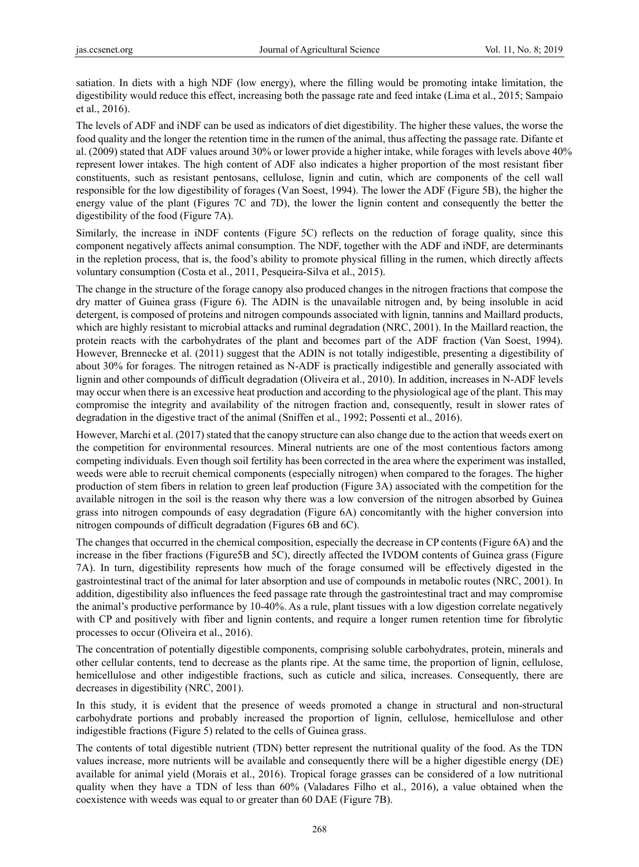satiation. In diets with a high NDF (low energy), where the filling would be promoting intake limitation, the digestibility would reduce this effect, increasing both the passage rate and feed intake (Lima et al., 2015; Sampaio et al., 2016).

The levels of ADF and iNDF can be used as indicators of diet digestibility. The higher these values, the worse the food quality and the longer the retention time in the rumen of the animal, thus affecting the passage rate. Difante et al. (2009) stated that ADF values around 30% or lower provide a higher intake, while forages with levels above 40% represent lower intakes. The high content of ADF also indicates a higher proportion of the most resistant fiber constituents, such as resistant pentosans, cellulose, lignin and cutin, which are components of the cell wall responsible for the low digestibility of forages (Van Soest, 1994). The lower the ADF (Figure 5B), the higher the energy value of the plant (Figures 7C and 7D), the lower the lignin content and consequently the better the digestibility of the food (Figure 7A).

Similarly, the increase in iNDF contents (Figure 5C) reflects on the reduction of forage quality, since this component negatively affects animal consumption. The NDF, together with the ADF and iNDF, are determinants in the repletion process, that is, the food's ability to promote physical filling in the rumen, which directly affects voluntary consumption (Costa et al., 2011, Pesqueira-Silva et al., 2015).

The change in the structure of the forage canopy also produced changes in the nitrogen fractions that compose the dry matter of Guinea grass (Figure 6). The ADIN is the unavailable nitrogen and, by being insoluble in acid detergent, is composed of proteins and nitrogen compounds associated with lignin, tannins and Maillard products, which are highly resistant to microbial attacks and ruminal degradation (NRC, 2001). In the Maillard reaction, the protein reacts with the carbohydrates of the plant and becomes part of the ADF fraction (Van Soest, 1994). However, Brennecke et al. (2011) suggest that the ADIN is not totally indigestible, presenting a digestibility of about 30% for forages. The nitrogen retained as N-ADF is practically indigestible and generally associated with lignin and other compounds of difficult degradation (Oliveira et al., 2010). In addition, increases in N-ADF levels may occur when there is an excessive heat production and according to the physiological age of the plant. This may compromise the integrity and availability of the nitrogen fraction and, consequently, result in slower rates of degradation in the digestive tract of the animal (Sniffen et al., 1992; Possenti et al., 2016).

However, Marchi et al. (2017) stated that the canopy structure can also change due to the action that weeds exert on the competition for environmental resources. Mineral nutrients are one of the most contentious factors among competing individuals. Even though soil fertility has been corrected in the area where the experiment was installed, weeds were able to recruit chemical components (especially nitrogen) when compared to the forages. The higher production of stem fibers in relation to green leaf production (Figure 3A) associated with the competition for the available nitrogen in the soil is the reason why there was a low conversion of the nitrogen absorbed by Guinea grass into nitrogen compounds of easy degradation (Figure 6A) concomitantly with the higher conversion into nitrogen compounds of difficult degradation (Figures 6B and 6C).

The changes that occurred in the chemical composition, especially the decrease in CP contents (Figure 6A) and the increase in the fiber fractions (Figure5B and 5C), directly affected the IVDOM contents of Guinea grass (Figure 7A). In turn, digestibility represents how much of the forage consumed will be effectively digested in the gastrointestinal tract of the animal for later absorption and use of compounds in metabolic routes (NRC, 2001). In addition, digestibility also influences the feed passage rate through the gastrointestinal tract and may compromise the animal's productive performance by 10-40%. As a rule, plant tissues with a low digestion correlate negatively with CP and positively with fiber and lignin contents, and require a longer rumen retention time for fibrolytic processes to occur (Oliveira et al., 2016).

The concentration of potentially digestible components, comprising soluble carbohydrates, protein, minerals and other cellular contents, tend to decrease as the plants ripe. At the same time, the proportion of lignin, cellulose, hemicellulose and other indigestible fractions, such as cuticle and silica, increases. Consequently, there are decreases in digestibility (NRC, 2001).

In this study, it is evident that the presence of weeds promoted a change in structural and non-structural carbohydrate portions and probably increased the proportion of lignin, cellulose, hemicellulose and other indigestible fractions (Figure 5) related to the cells of Guinea grass.

The contents of total digestible nutrient (TDN) better represent the nutritional quality of the food. As the TDN values increase, more nutrients will be available and consequently there will be a higher digestible energy (DE) available for animal yield (Morais et al., 2016). Tropical forage grasses can be considered of a low nutritional quality when they have a TDN of less than 60% (Valadares Filho et al., 2016), a value obtained when the coexistence with weeds was equal to or greater than 60 DAE (Figure 7B).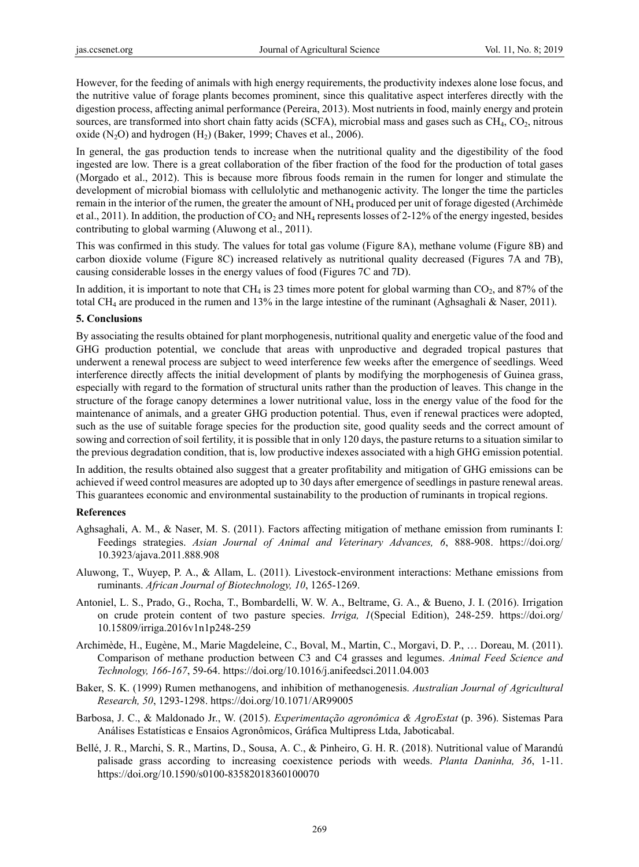However, for the feeding of animals with high energy requirements, the productivity indexes alone lose focus, and the nutritive value of forage plants becomes prominent, since this qualitative aspect interferes directly with the digestion process, affecting animal performance (Pereira, 2013). Most nutrients in food, mainly energy and protein sources, are transformed into short chain fatty acids (SCFA), microbial mass and gases such as CH<sub>4</sub>, CO<sub>2</sub>, nitrous oxide  $(N_2O)$  and hydrogen  $(H_2)$  (Baker, 1999; Chaves et al., 2006).

In general, the gas production tends to increase when the nutritional quality and the digestibility of the food ingested are low. There is a great collaboration of the fiber fraction of the food for the production of total gases (Morgado et al., 2012). This is because more fibrous foods remain in the rumen for longer and stimulate the development of microbial biomass with cellulolytic and methanogenic activity. The longer the time the particles remain in the interior of the rumen, the greater the amount of NH4 produced per unit of forage digested (Archimède et al., 2011). In addition, the production of  $CO_2$  and  $NH_4$  represents losses of 2-12% of the energy ingested, besides contributing to global warming (Aluwong et al., 2011).

This was confirmed in this study. The values for total gas volume (Figure 8A), methane volume (Figure 8B) and carbon dioxide volume (Figure 8C) increased relatively as nutritional quality decreased (Figures 7A and 7B), causing considerable losses in the energy values of food (Figures 7C and 7D).

In addition, it is important to note that CH<sub>4</sub> is 23 times more potent for global warming than  $CO<sub>2</sub>$ , and 87% of the total CH4 are produced in the rumen and 13% in the large intestine of the ruminant (Aghsaghali & Naser, 2011).

#### **5. Conclusions**

By associating the results obtained for plant morphogenesis, nutritional quality and energetic value of the food and GHG production potential, we conclude that areas with unproductive and degraded tropical pastures that underwent a renewal process are subject to weed interference few weeks after the emergence of seedlings. Weed interference directly affects the initial development of plants by modifying the morphogenesis of Guinea grass, especially with regard to the formation of structural units rather than the production of leaves. This change in the structure of the forage canopy determines a lower nutritional value, loss in the energy value of the food for the maintenance of animals, and a greater GHG production potential. Thus, even if renewal practices were adopted, such as the use of suitable forage species for the production site, good quality seeds and the correct amount of sowing and correction of soil fertility, it is possible that in only 120 days, the pasture returns to a situation similar to the previous degradation condition, that is, low productive indexes associated with a high GHG emission potential.

In addition, the results obtained also suggest that a greater profitability and mitigation of GHG emissions can be achieved if weed control measures are adopted up to 30 days after emergence of seedlings in pasture renewal areas. This guarantees economic and environmental sustainability to the production of ruminants in tropical regions.

#### **References**

- Aghsaghali, A. M., & Naser, M. S. (2011). Factors affecting mitigation of methane emission from ruminants I: Feedings strategies. *Asian Journal of Animal and Veterinary Advances, 6*, 888-908. https://doi.org/ 10.3923/ajava.2011.888.908
- Aluwong, T., Wuyep, P. A., & Allam, L. (2011). Livestock-environment interactions: Methane emissions from ruminants. *African Journal of Biotechnology, 10*, 1265-1269.
- Antoniel, L. S., Prado, G., Rocha, T., Bombardelli, W. W. A., Beltrame, G. A., & Bueno, J. I. (2016). Irrigation on crude protein content of two pasture species. *Irriga, 1*(Special Edition), 248-259. https://doi.org/ 10.15809/irriga.2016v1n1p248-259
- Archimède, H., Eugène, M., Marie Magdeleine, C., Boval, M., Martin, C., Morgavi, D. P., … Doreau, M. (2011). Comparison of methane production between C3 and C4 grasses and legumes. *Animal Feed Science and Technology, 166-167*, 59-64. https://doi.org/10.1016/j.anifeedsci.2011.04.003
- Baker, S. K. (1999) Rumen methanogens, and inhibition of methanogenesis. *Australian Journal of Agricultural Research, 50*, 1293-1298. https://doi.org/10.1071/AR99005
- Barbosa, J. C., & Maldonado Jr., W. (2015). *Experimentação agronômica & AgroEstat* (p. 396). Sistemas Para Análises Estatísticas e Ensaios Agronômicos, Gráfica Multipress Ltda, Jaboticabal.
- Bellé, J. R., Marchi, S. R., Martins, D., Sousa, A. C., & Pinheiro, G. H. R. (2018). Nutritional value of Marandú palisade grass according to increasing coexistence periods with weeds. *Planta Daninha, 36*, 1-11. https://doi.org/10.1590/s0100-83582018360100070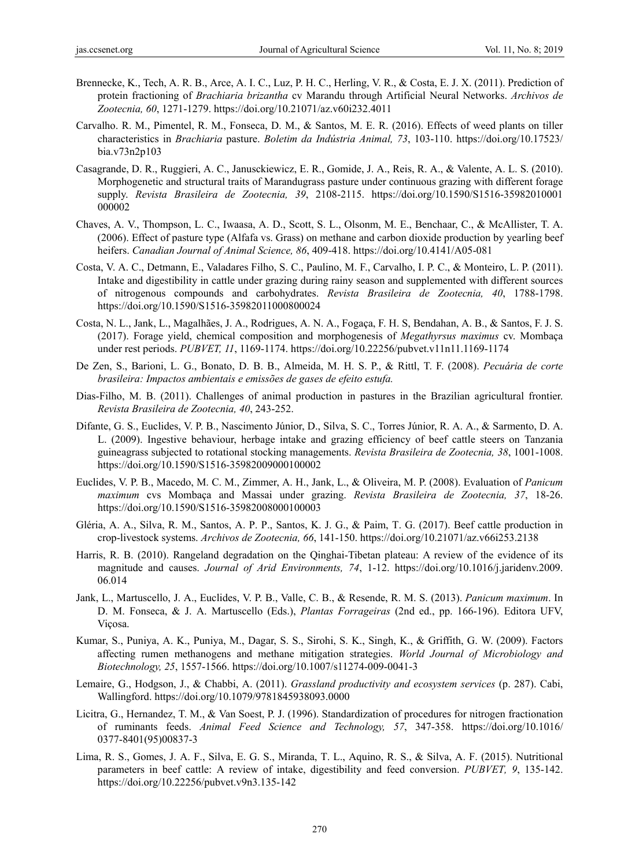- Brennecke, K., Tech, A. R. B., Arce, A. I. C., Luz, P. H. C., Herling, V. R., & Costa, E. J. X. (2011). Prediction of protein fractioning of *Brachiaria brizantha* cv Marandu through Artificial Neural Networks. *Archivos de Zootecnia, 60*, 1271-1279. https://doi.org/10.21071/az.v60i232.4011
- Carvalho. R. M., Pimentel, R. M., Fonseca, D. M., & Santos, M. E. R. (2016). Effects of weed plants on tiller characteristics in *Brachiaria* pasture. *Boletim da Indústria Animal, 73*, 103-110. https://doi.org/10.17523/ bia.v73n2p103
- Casagrande, D. R., Ruggieri, A. C., Janusckiewicz, E. R., Gomide, J. A., Reis, R. A., & Valente, A. L. S. (2010). Morphogenetic and structural traits of Marandugrass pasture under continuous grazing with different forage supply. *Revista Brasileira de Zootecnia, 39*, 2108-2115. https://doi.org/10.1590/S1516-35982010001 000002
- Chaves, A. V., Thompson, L. C., Iwaasa, A. D., Scott, S. L., Olsonm, M. E., Benchaar, C., & McAllister, T. A. (2006). Effect of pasture type (Alfafa vs. Grass) on methane and carbon dioxide production by yearling beef heifers. *Canadian Journal of Animal Science, 86*, 409-418. https://doi.org/10.4141/A05-081
- Costa, V. A. C., Detmann, E., Valadares Filho, S. C., Paulino, M. F., Carvalho, I. P. C., & Monteiro, L. P. (2011). Intake and digestibility in cattle under grazing during rainy season and supplemented with different sources of nitrogenous compounds and carbohydrates. *Revista Brasileira de Zootecnia, 40*, 1788-1798. https://doi.org/10.1590/S1516-35982011000800024
- Costa, N. L., Jank, L., Magalhães, J. A., Rodrigues, A. N. A., Fogaça, F. H. S, Bendahan, A. B., & Santos, F. J. S. (2017). Forage yield, chemical composition and morphogenesis of *Megathyrsus maximus* cv. Mombaça under rest periods. *PUBVET, 11*, 1169-1174. https://doi.org/10.22256/pubvet.v11n11.1169-1174
- De Zen, S., Barioni, L. G., Bonato, D. B. B., Almeida, M. H. S. P., & Rittl, T. F. (2008). *Pecuária de corte brasileira: Impactos ambientais e emissões de gases de efeito estufa.*
- Dias-Filho, M. B. (2011). Challenges of animal production in pastures in the Brazilian agricultural frontier. *Revista Brasileira de Zootecnia, 40*, 243-252.
- Difante, G. S., Euclides, V. P. B., Nascimento Júnior, D., Silva, S. C., Torres Júnior, R. A. A., & Sarmento, D. A. L. (2009). Ingestive behaviour, herbage intake and grazing efficiency of beef cattle steers on Tanzania guineagrass subjected to rotational stocking managements. *Revista Brasileira de Zootecnia, 38*, 1001-1008. https://doi.org/10.1590/S1516-35982009000100002
- Euclides, V. P. B., Macedo, M. C. M., Zimmer, A. H., Jank, L., & Oliveira, M. P. (2008). Evaluation of *Panicum maximum* cvs Mombaça and Massai under grazing. *Revista Brasileira de Zootecnia, 37*, 18-26. https://doi.org/10.1590/S1516-35982008000100003
- Gléria, A. A., Silva, R. M., Santos, A. P. P., Santos, K. J. G., & Paim, T. G. (2017). Beef cattle production in crop-livestock systems. *Archivos de Zootecnia, 66*, 141-150. https://doi.org/10.21071/az.v66i253.2138
- Harris, R. B. (2010). Rangeland degradation on the Qinghai-Tibetan plateau: A review of the evidence of its magnitude and causes. *Journal of Arid Environments, 74*, 1-12. https://doi.org/10.1016/j.jaridenv.2009. 06.014
- Jank, L., Martuscello, J. A., Euclides, V. P. B., Valle, C. B., & Resende, R. M. S. (2013). *Panicum maximum*. In D. M. Fonseca, & J. A. Martuscello (Eds.), *Plantas Forrageiras* (2nd ed., pp. 166-196). Editora UFV, Viçosa.
- Kumar, S., Puniya, A. K., Puniya, M., Dagar, S. S., Sirohi, S. K., Singh, K., & Griffith, G. W. (2009). Factors affecting rumen methanogens and methane mitigation strategies. *World Journal of Microbiology and Biotechnology, 25*, 1557-1566. https://doi.org/10.1007/s11274-009-0041-3
- Lemaire, G., Hodgson, J., & Chabbi, A. (2011). *Grassland productivity and ecosystem services* (p. 287). Cabi, Wallingford. https://doi.org/10.1079/9781845938093.0000
- Licitra, G., Hernandez, T. M., & Van Soest, P. J. (1996). Standardization of procedures for nitrogen fractionation of ruminants feeds. *Animal Feed Science and Technology, 57*, 347-358. https://doi.org/10.1016/ 0377-8401(95)00837-3
- Lima, R. S., Gomes, J. A. F., Silva, E. G. S., Miranda, T. L., Aquino, R. S., & Silva, A. F. (2015). Nutritional parameters in beef cattle: A review of intake, digestibility and feed conversion. *PUBVET, 9*, 135-142. https://doi.org/10.22256/pubvet.v9n3.135-142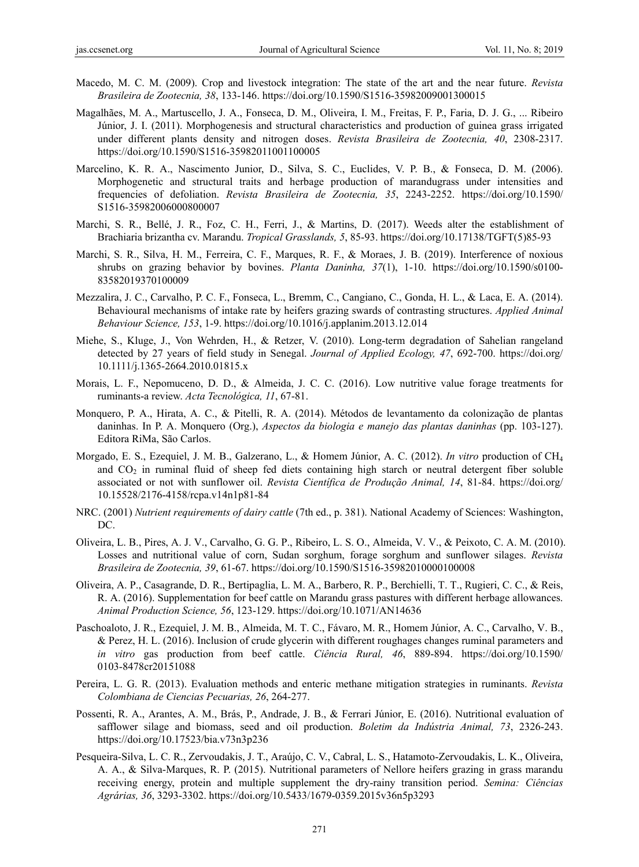- Macedo, M. C. M. (2009). Crop and livestock integration: The state of the art and the near future. *Revista Brasileira de Zootecnia, 38*, 133-146. https://doi.org/10.1590/S1516-35982009001300015
- Magalhães, M. A., Martuscello, J. A., Fonseca, D. M., Oliveira, I. M., Freitas, F. P., Faria, D. J. G., ... Ribeiro Júnior, J. I. (2011). Morphogenesis and structural characteristics and production of guinea grass irrigated under different plants density and nitrogen doses. *Revista Brasileira de Zootecnia, 40*, 2308-2317. https://doi.org/10.1590/S1516-35982011001100005
- Marcelino, K. R. A., Nascimento Junior, D., Silva, S. C., Euclides, V. P. B., & Fonseca, D. M. (2006). Morphogenetic and structural traits and herbage production of marandugrass under intensities and frequencies of defoliation. *Revista Brasileira de Zootecnia, 35*, 2243-2252. https://doi.org/10.1590/ S1516-35982006000800007
- Marchi, S. R., Bellé, J. R., Foz, C. H., Ferri, J., & Martins, D. (2017). Weeds alter the establishment of Brachiaria brizantha cv. Marandu. *Tropical Grasslands, 5*, 85-93. https://doi.org/10.17138/TGFT(5)85-93
- Marchi, S. R., Silva, H. M., Ferreira, C. F., Marques, R. F., & Moraes, J. B. (2019). Interference of noxious shrubs on grazing behavior by bovines. *Planta Daninha, 37*(1), 1-10. https://doi.org/10.1590/s0100- 83582019370100009
- Mezzalira, J. C., Carvalho, P. C. F., Fonseca, L., Bremm, C., Cangiano, C., Gonda, H. L., & Laca, E. A. (2014). Behavioural mechanisms of intake rate by heifers grazing swards of contrasting structures. *Applied Animal Behaviour Science, 153*, 1-9. https://doi.org/10.1016/j.applanim.2013.12.014
- Miehe, S., Kluge, J., Von Wehrden, H., & Retzer, V. (2010). Long-term degradation of Sahelian rangeland detected by 27 years of field study in Senegal. *Journal of Applied Ecology, 47*, 692-700. https://doi.org/ 10.1111/j.1365-2664.2010.01815.x
- Morais, L. F., Nepomuceno, D. D., & Almeida, J. C. C. (2016). Low nutritive value forage treatments for ruminants-a review. *Acta Tecnológica, 11*, 67-81.
- Monquero, P. A., Hirata, A. C., & Pitelli, R. A. (2014). Métodos de levantamento da colonização de plantas daninhas. In P. A. Monquero (Org.), *Aspectos da biologia e manejo das plantas daninhas* (pp. 103-127). Editora RiMa, São Carlos.
- Morgado, E. S., Ezequiel, J. M. B., Galzerano, L., & Homem Júnior, A. C. (2012). *In vitro* production of CH4 and  $CO<sub>2</sub>$  in ruminal fluid of sheep fed diets containing high starch or neutral detergent fiber soluble associated or not with sunflower oil. *Revista Científica de Produção Animal, 14*, 81-84. https://doi.org/ 10.15528/2176-4158/rcpa.v14n1p81-84
- NRC. (2001) *Nutrient requirements of dairy cattle* (7th ed., p. 381). National Academy of Sciences: Washington, D<sub>C</sub>
- Oliveira, L. B., Pires, A. J. V., Carvalho, G. G. P., Ribeiro, L. S. O., Almeida, V. V., & Peixoto, C. A. M. (2010). Losses and nutritional value of corn, Sudan sorghum, forage sorghum and sunflower silages. *Revista Brasileira de Zootecnia, 39*, 61-67. https://doi.org/10.1590/S1516-35982010000100008
- Oliveira, A. P., Casagrande, D. R., Bertipaglia, L. M. A., Barbero, R. P., Berchielli, T. T., Rugieri, C. C., & Reis, R. A. (2016). Supplementation for beef cattle on Marandu grass pastures with different herbage allowances. *Animal Production Science, 56*, 123-129. https://doi.org/10.1071/AN14636
- Paschoaloto, J. R., Ezequiel, J. M. B., Almeida, M. T. C., Fávaro, M. R., Homem Júnior, A. C., Carvalho, V. B., & Perez, H. L. (2016). Inclusion of crude glycerin with different roughages changes ruminal parameters and *in vitro* gas production from beef cattle. *Ciência Rural, 46*, 889-894. https://doi.org/10.1590/ 0103-8478cr20151088
- Pereira, L. G. R. (2013). Evaluation methods and enteric methane mitigation strategies in ruminants. *Revista Colombiana de Ciencias Pecuarias, 26*, 264-277.
- Possenti, R. A., Arantes, A. M., Brás, P., Andrade, J. B., & Ferrari Júnior, E. (2016). Nutritional evaluation of safflower silage and biomass, seed and oil production. *Boletim da Indústria Animal, 73*, 2326-243. https://doi.org/10.17523/bia.v73n3p236
- Pesqueira-Silva, L. C. R., Zervoudakis, J. T., Araújo, C. V., Cabral, L. S., Hatamoto-Zervoudakis, L. K., Oliveira, A. A., & Silva-Marques, R. P. (2015). Nutritional parameters of Nellore heifers grazing in grass marandu receiving energy, protein and multiple supplement the dry-rainy transition period. *Semina: Ciências Agrárias, 36*, 3293-3302. https://doi.org/10.5433/1679-0359.2015v36n5p3293